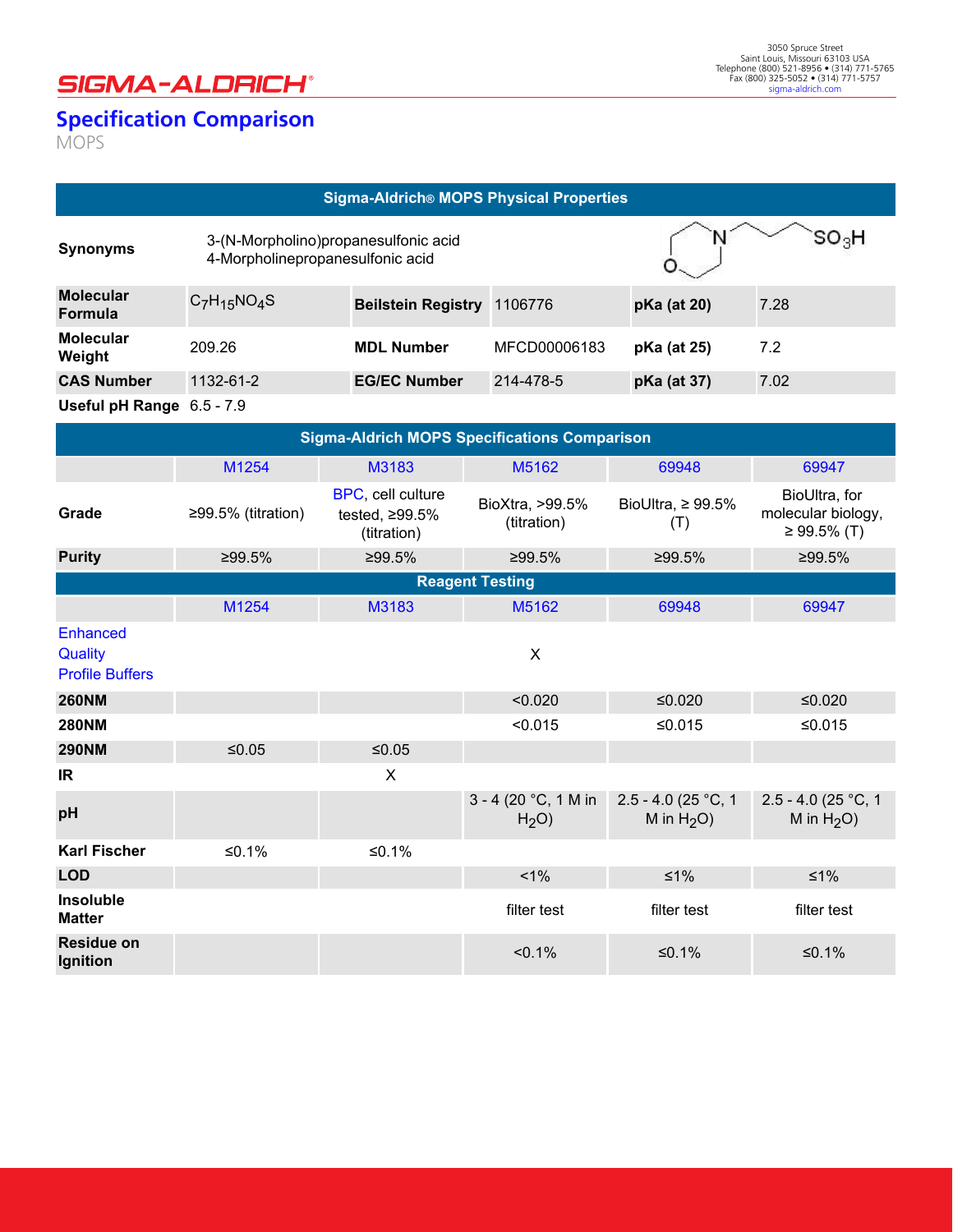## **SIGMA-ALDRICH®**

## **Specification Comparison** pecnication Companson

<u>Nickase Xingi (1995), mengenai kepada pada tahun 1996 (nombor).</u>

MOPS

## **Sigma-Aldrich® MOPS Physical Properties**

| <b>Synonyms</b>                    | 3-(N-Morpholino) propane sulfonic acid<br>4-Morpholinepropanesulfonic acid |                           | SO H         |             |      |
|------------------------------------|----------------------------------------------------------------------------|---------------------------|--------------|-------------|------|
| <b>Molecular</b><br><b>Formula</b> | $C_7H_{15}NO_4S$                                                           | <b>Beilstein Registry</b> | 1106776      | pKa (at 20) | 7.28 |
| <b>Molecular</b><br>Weight         | 209.26                                                                     | <b>MDL Number</b>         | MFCD00006183 | pKa (at 25) | 7.2  |
| <b>CAS Number</b>                  | 1132-61-2                                                                  | <b>EG/EC Number</b>       | 214-478-5    | pKa (at 37) | 7.02 |
| Useful pH Range 6.5 - 7.9          |                                                                            |                           |              |             |      |

| <b>Sigma-Aldrich MOPS Specifications Comparison</b>  |                        |                                                          |                                            |                                        |                                                    |  |
|------------------------------------------------------|------------------------|----------------------------------------------------------|--------------------------------------------|----------------------------------------|----------------------------------------------------|--|
|                                                      | M1254                  | M3183                                                    | M5162                                      | 69948                                  | 69947                                              |  |
| Grade                                                | ≥99.5% (titration)     | BPC, cell culture<br>tested, $\geq$ 99.5%<br>(titration) | BioXtra, >99.5%<br>(titration)             | BioUltra, $\geq 99.5\%$<br>(T)         | BioUltra, for<br>molecular biology,<br>≥ 99.5% (T) |  |
| <b>Purity</b>                                        | ≥99.5%                 | ≥99.5%                                                   | ≥99.5%                                     | ≥99.5%                                 | ≥99.5%                                             |  |
|                                                      | <b>Reagent Testing</b> |                                                          |                                            |                                        |                                                    |  |
|                                                      | M1254                  | M3183                                                    | M5162                                      | 69948                                  | 69947                                              |  |
| <b>Enhanced</b><br>Quality<br><b>Profile Buffers</b> |                        |                                                          | $\mathsf{X}$                               |                                        |                                                    |  |
| <b>260NM</b>                                         |                        |                                                          | < 0.020                                    | $≤0.020$                               | $≤0.020$                                           |  |
| <b>280NM</b>                                         |                        |                                                          | < 0.015                                    | $≤0.015$                               | $≤0.015$                                           |  |
| <b>290NM</b>                                         | $≤0.05$                | $≤0.05$                                                  |                                            |                                        |                                                    |  |
| IR                                                   |                        | X                                                        |                                            |                                        |                                                    |  |
| pH                                                   |                        |                                                          | $3 - 4$ (20 °C, 1 M in<br>H <sub>2</sub> O | $2.5 - 4.0$ (25 °C, 1<br>M in $H_2O$ ) | 2.5 - 4.0 (25 °C, 1<br>M in $H_2O$ )               |  |
| <b>Karl Fischer</b>                                  | $≤0.1%$                | $≤0.1%$                                                  |                                            |                                        |                                                    |  |
| <b>LOD</b>                                           |                        |                                                          | $1\%$                                      | $\leq 1\%$                             | $≤1\%$                                             |  |
| Insoluble<br><b>Matter</b>                           |                        |                                                          | filter test                                | filter test                            | filter test                                        |  |
| <b>Residue on</b><br>Ignition                        |                        |                                                          | $< 0.1\%$                                  | ≤0.1%                                  | $≤0.1%$                                            |  |